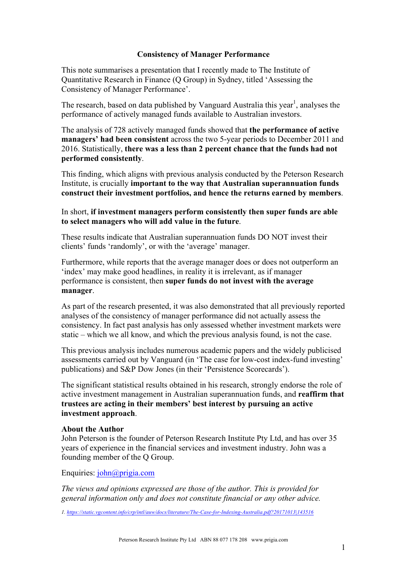## **Consistency of Manager Performance**

This note summarises a presentation that I recently made to The Institute of Quantitative Research in Finance (Q Group) in Sydney, titled 'Assessing the Consistency of Manager Performance'.

The research, based on data published by Vanguard Australia this year<sup>1</sup>, analyses the performance of actively managed funds available to Australian investors.

The analysis of 728 actively managed funds showed that **the performance of active managers' had been consistent** across the two 5-year periods to December 2011 and 2016. Statistically, **there was a less than 2 percent chance that the funds had not performed consistently**.

This finding, which aligns with previous analysis conducted by the Peterson Research Institute, is crucially **important to the way that Australian superannuation funds construct their investment portfolios, and hence the returns earned by members**.

## In short, **if investment managers perform consistently then super funds are able to select managers who will add value in the future**.

These results indicate that Australian superannuation funds DO NOT invest their clients' funds 'randomly', or with the 'average' manager.

Furthermore, while reports that the average manager does or does not outperform an 'index' may make good headlines, in reality it is irrelevant, as if manager performance is consistent, then **super funds do not invest with the average manager**.

As part of the research presented, it was also demonstrated that all previously reported analyses of the consistency of manager performance did not actually assess the consistency. In fact past analysis has only assessed whether investment markets were static – which we all know, and which the previous analysis found, is not the case.

This previous analysis includes numerous academic papers and the widely publicised assessments carried out by Vanguard (in 'The case for low-cost index-fund investing' publications) and S&P Dow Jones (in their 'Persistence Scorecards').

The significant statistical results obtained in his research, strongly endorse the role of active investment management in Australian superannuation funds, and **reaffirm that trustees are acting in their members' best interest by pursuing an active investment approach**.

## **About the Author**

John Peterson is the founder of Peterson Research Institute Pty Ltd, and has over 35 years of experience in the financial services and investment industry. John was a founding member of the Q Group.

Enquiries: john@prigia.com

*The views and opinions expressed are those of the author. This is provided for general information only and does not constitute financial or any other advice.*

*1. https://static.vgcontent.info/crp/intl/auw/docs/literature/The-Case-for-Indexing-Australia.pdf?20171013|143516*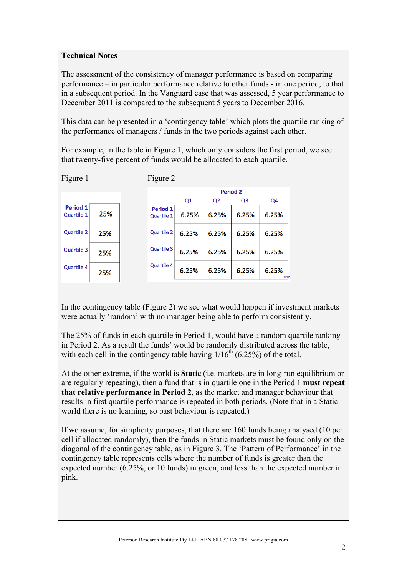## **Technical Notes**

The assessment of the consistency of manager performance is based on comparing performance – in particular performance relative to other funds - in one period, to that in a subsequent period. In the Vanguard case that was assessed, 5 year performance to December 2011 is compared to the subsequent 5 years to December 2016.

This data can be presented in a 'contingency table' which plots the quartile ranking of the performance of managers / funds in the two periods against each other.

For example, in the table in Figure 1, which only considers the first period, we see that twenty-five percent of funds would be allocated to each quartile.

| Figure 1               |     |  | Figure 2                      |                 |                |       |             |
|------------------------|-----|--|-------------------------------|-----------------|----------------|-------|-------------|
|                        |     |  |                               | <b>Period 2</b> |                |       |             |
|                        |     |  |                               | Q1              | Q <sub>2</sub> | Q3    | Q4          |
| Period 1<br>Quartile 1 | 25% |  | <b>Period 1</b><br>Quartile 1 | 6.25%           | 6.25%          | 6.25% | 6.25%       |
| Quartile 2             | 25% |  | Quartile 2                    | 6.25%           | 6.25%          | 6.25% | 6.25%       |
| Quartile 3             | 25% |  | Quartile 3                    | 6.25%           | 6.25%          | 6.25% | 6.25%       |
| Quartile 4             | 25% |  | Quartile 4                    | 6.25%           | 6.25%          | 6.25% | 6.25%<br>Pe |

In the contingency table (Figure 2) we see what would happen if investment markets were actually 'random' with no manager being able to perform consistently.

The 25% of funds in each quartile in Period 1, would have a random quartile ranking in Period 2. As a result the funds' would be randomly distributed across the table, with each cell in the contingency table having  $1/16^{th}$  (6.25%) of the total.

At the other extreme, if the world is **Static** (i.e. markets are in long-run equilibrium or are regularly repeating), then a fund that is in quartile one in the Period 1 **must repeat that relative performance in Period 2**, as the market and manager behaviour that results in first quartile performance is repeated in both periods. (Note that in a Static world there is no learning, so past behaviour is repeated.)

If we assume, for simplicity purposes, that there are 160 funds being analysed (10 per cell if allocated randomly), then the funds in Static markets must be found only on the diagonal of the contingency table, as in Figure 3. The 'Pattern of Performance' in the contingency table represents cells where the number of funds is greater than the expected number (6.25%, or 10 funds) in green, and less than the expected number in pink.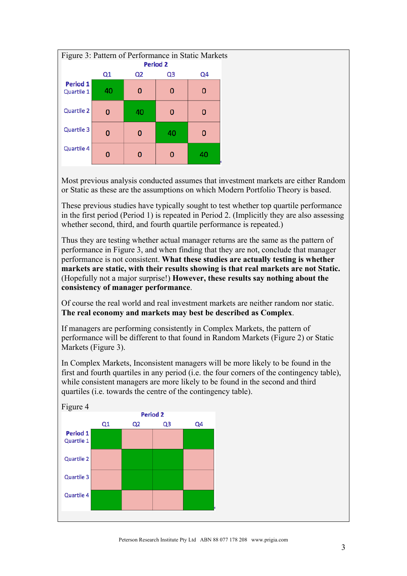

Most previous analysis conducted assumes that investment markets are either Random or Static as these are the assumptions on which Modern Portfolio Theory is based.

These previous studies have typically sought to test whether top quartile performance in the first period (Period 1) is repeated in Period 2. (Implicitly they are also assessing whether second, third, and fourth quartile performance is repeated.)

Thus they are testing whether actual manager returns are the same as the pattern of performance in Figure 3, and when finding that they are not, conclude that manager performance is not consistent. **What these studies are actually testing is whether markets are static, with their results showing is that real markets are not Static.** (Hopefully not a major surprise!) **However, these results say nothing about the consistency of manager performance**.

Of course the real world and real investment markets are neither random nor static. **The real economy and markets may best be described as Complex**.

If managers are performing consistently in Complex Markets, the pattern of performance will be different to that found in Random Markets (Figure 2) or Static Markets (Figure 3).

In Complex Markets, Inconsistent managers will be more likely to be found in the first and fourth quartiles in any period (i.e. the four corners of the contingency table), while consistent managers are more likely to be found in the second and third quartiles (i.e. towards the centre of the contingency table).